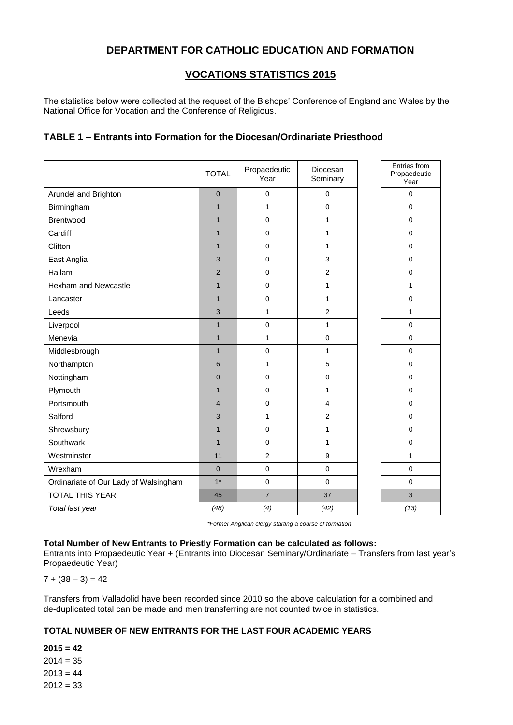# **DEPARTMENT FOR CATHOLIC EDUCATION AND FORMATION**

## **VOCATIONS STATISTICS 2015**

The statistics below were collected at the request of the Bishops' Conference of England and Wales by the National Office for Vocation and the Conference of Religious.

## **TABLE 1 – Entrants into Formation for the Diocesan/Ordinariate Priesthood**

|                                       | <b>TOTAL</b>   | Propaedeutic<br>Year | Diocesan<br>Seminary | Entries from<br>Propaedeutic<br>Year |
|---------------------------------------|----------------|----------------------|----------------------|--------------------------------------|
| Arundel and Brighton                  | $\overline{0}$ | 0                    | 0                    | $\mathbf 0$                          |
| Birmingham                            | $\overline{1}$ | $\mathbf{1}$         | 0                    | $\mathbf 0$                          |
| Brentwood                             | $\mathbf{1}$   | 0                    | $\mathbf{1}$         | $\pmb{0}$                            |
| Cardiff                               | $\mathbf{1}$   | 0                    | $\mathbf{1}$         | $\mathbf 0$                          |
| Clifton                               | $\mathbf{1}$   | 0                    | $\mathbf{1}$         | $\mathbf 0$                          |
| East Anglia                           | 3              | 0                    | 3                    | $\mathbf 0$                          |
| Hallam                                | $\overline{2}$ | $\pmb{0}$            | 2                    | $\pmb{0}$                            |
| Hexham and Newcastle                  | $\mathbf{1}$   | $\pmb{0}$            | $\mathbf{1}$         | $\mathbf{1}$                         |
| Lancaster                             | $\mathbf{1}$   | 0                    | $\mathbf{1}$         | $\mathbf 0$                          |
| Leeds                                 | 3              | $\mathbf{1}$         | $\overline{2}$       | $\mathbf{1}$                         |
| Liverpool                             | $\mathbf{1}$   | 0                    | $\mathbf{1}$         | $\mathbf 0$                          |
| Menevia                               | $\mathbf{1}$   | $\mathbf{1}$         | 0                    | $\mathbf 0$                          |
| Middlesbrough                         | $\mathbf{1}$   | $\mathsf 0$          | $\mathbf{1}$         | $\pmb{0}$                            |
| Northampton                           | 6              | $\mathbf{1}$         | 5                    | $\pmb{0}$                            |
| Nottingham                            | $\mathbf 0$    | 0                    | 0                    | $\mathbf 0$                          |
| Plymouth                              | $\mathbf{1}$   | $\pmb{0}$            | $\mathbf{1}$         | $\pmb{0}$                            |
| Portsmouth                            | $\overline{4}$ | 0                    | 4                    | $\mathbf 0$                          |
| Salford                               | 3              | $\mathbf{1}$         | $\overline{2}$       | $\mathbf 0$                          |
| Shrewsbury                            | $\overline{1}$ | 0                    | $\mathbf{1}$         | $\mathbf 0$                          |
| Southwark                             | $\overline{1}$ | 0                    | $\mathbf{1}$         | $\pmb{0}$                            |
| Westminster                           | 11             | $\overline{2}$       | 9                    | $\mathbf{1}$                         |
| Wrexham                               | $\mathbf 0$    | 0                    | 0                    | $\mathbf 0$                          |
| Ordinariate of Our Lady of Walsingham | $1*$           | 0                    | 0                    | $\mathbf 0$                          |
| <b>TOTAL THIS YEAR</b>                | 45             | $\overline{7}$       | 37                   | 3                                    |
| Total last year                       | (48)           | (4)                  | (42)                 | (13)                                 |

*\*Former Anglican clergy starting a course of formation*

#### **Total Number of New Entrants to Priestly Formation can be calculated as follows:**

Entrants into Propaedeutic Year + (Entrants into Diocesan Seminary/Ordinariate – Transfers from last year's Propaedeutic Year)

 $7 + (38 - 3) = 42$ 

Transfers from Valladolid have been recorded since 2010 so the above calculation for a combined and de-duplicated total can be made and men transferring are not counted twice in statistics.

### **TOTAL NUMBER OF NEW ENTRANTS FOR THE LAST FOUR ACADEMIC YEARS**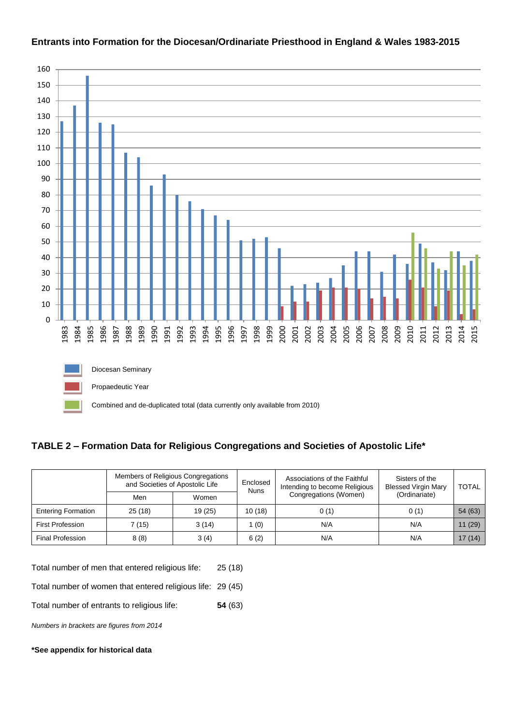

## **Entrants into Formation for the Diocesan/Ordinariate Priesthood in England & Wales 1983-2015**

## **TABLE 2 – Formation Data for Religious Congregations and Societies of Apostolic Life\***

|                           | Members of Religious Congregations<br>and Societies of Apostolic Life |         | Enclosed<br><b>Nuns</b> | Associations of the Faithful<br>Intending to become Religious | Sisters of the<br><b>Blessed Virgin Mary</b> | <b>TOTAL</b> |
|---------------------------|-----------------------------------------------------------------------|---------|-------------------------|---------------------------------------------------------------|----------------------------------------------|--------------|
|                           | Men                                                                   | Women   |                         | Congregations (Women)                                         | (Ordinariate)                                |              |
| <b>Entering Formation</b> | 25(18)                                                                | 19 (25) | 10(18)                  | 0(1)                                                          | 0(1)                                         | 54 (63)      |
| <b>First Profession</b>   | 7 (15)                                                                | 3(14)   | (0)                     | N/A                                                           | N/A                                          | 11(29)       |
| <b>Final Profession</b>   | 8(8)                                                                  | 3(4)    | 6(2)                    | N/A                                                           | N/A                                          | 17(14)       |

Total number of men that entered religious life: 25 (18)

Total number of women that entered religious life: 29 (45)

Total number of entrants to religious life: **54** (63)

*Numbers in brackets are figures from 2014*

#### **\*See appendix for historical data**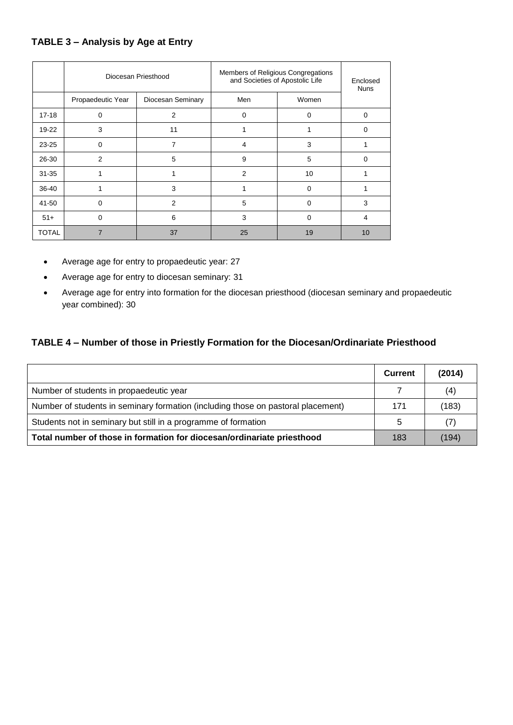# **TABLE 3 – Analysis by Age at Entry**

|              | Diocesan Priesthood |                   | Members of Religious Congregations<br>and Societies of Apostolic Life | Enclosed<br><b>Nuns</b> |                |
|--------------|---------------------|-------------------|-----------------------------------------------------------------------|-------------------------|----------------|
|              | Propaedeutic Year   | Diocesan Seminary | Men                                                                   | Women                   |                |
| $17 - 18$    | 0                   | 2                 | 0                                                                     | $\Omega$                | $\Omega$       |
| 19-22        | 3                   | 11                |                                                                       |                         | $\Omega$       |
| $23 - 25$    | 0                   | 7                 | 4                                                                     | 3                       |                |
| 26-30        | 2                   | 5                 | 9                                                                     | 5                       | $\Omega$       |
| $31 - 35$    |                     |                   | $\overline{2}$                                                        | 10                      |                |
| 36-40        |                     | 3                 |                                                                       | $\Omega$                |                |
| 41-50        | 0                   | $\overline{2}$    | 5                                                                     | $\Omega$                | 3              |
| $51+$        | 0                   | 6                 | 3                                                                     | 0                       | $\overline{4}$ |
| <b>TOTAL</b> |                     | 37                | 25                                                                    | 19                      | 10             |

- Average age for entry to propaedeutic year: 27
- Average age for entry to diocesan seminary: 31
- Average age for entry into formation for the diocesan priesthood (diocesan seminary and propaedeutic year combined): 30

## **TABLE 4 – Number of those in Priestly Formation for the Diocesan/Ordinariate Priesthood**

|                                                                                  | <b>Current</b> | (2014) |
|----------------------------------------------------------------------------------|----------------|--------|
| Number of students in propaedeutic year                                          |                | (4)    |
| Number of students in seminary formation (including those on pastoral placement) | 171            | (183)  |
| Students not in seminary but still in a programme of formation                   | 5              | (7)    |
| Total number of those in formation for diocesan/ordinariate priesthood           | 183            | (194)  |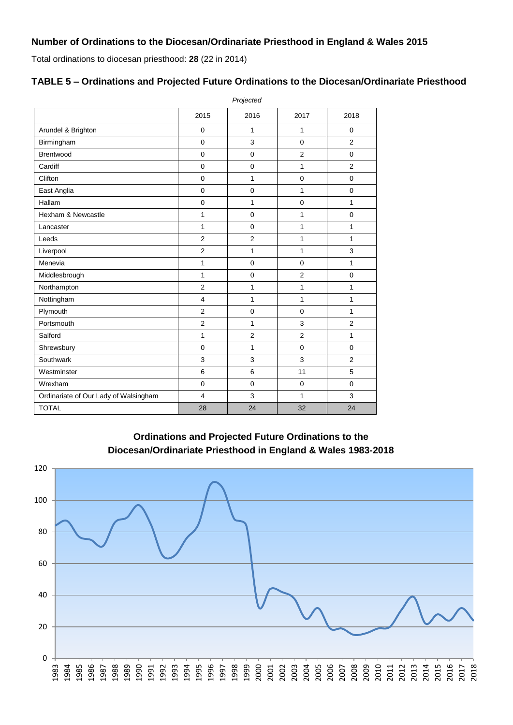Total ordinations to diocesan priesthood: **28** (22 in 2014)

## **TABLE 5 – Ordinations and Projected Future Ordinations to the Diocesan/Ordinariate Priesthood**

|                                       | Projected      |                |                |                |  |  |
|---------------------------------------|----------------|----------------|----------------|----------------|--|--|
|                                       | 2015           | 2016           | 2017           | 2018           |  |  |
| Arundel & Brighton                    | $\mathbf 0$    | 1              | 1              | $\mathbf 0$    |  |  |
| Birmingham                            | $\mathbf 0$    | 3              | $\Omega$       | 2              |  |  |
| Brentwood                             | $\mathbf 0$    | $\mathbf 0$    | $\overline{2}$ | $\Omega$       |  |  |
| Cardiff                               | $\mathbf 0$    | $\mathbf 0$    | 1              | $\overline{2}$ |  |  |
| Clifton                               | $\overline{0}$ | $\mathbf{1}$   | $\mathbf 0$    | $\mathbf 0$    |  |  |
| East Anglia                           | $\overline{0}$ | $\mathbf 0$    | 1              | $\mathbf 0$    |  |  |
| Hallam                                | $\mathbf 0$    | $\mathbf{1}$   | $\mathbf 0$    | 1              |  |  |
| Hexham & Newcastle                    | 1              | $\mathbf 0$    | 1              | $\mathbf 0$    |  |  |
| Lancaster                             | 1              | $\mathbf 0$    | 1              | 1              |  |  |
| Leeds                                 | $\overline{2}$ | $\overline{2}$ | 1              | $\mathbf{1}$   |  |  |
| Liverpool                             | $\overline{2}$ | $\mathbf{1}$   | 1              | 3              |  |  |
| Menevia                               | 1              | $\mathbf 0$    | $\mathbf 0$    | 1              |  |  |
| Middlesbrough                         | 1              | $\mathbf 0$    | $\overline{2}$ | $\mathbf 0$    |  |  |
| Northampton                           | $\overline{2}$ | $\mathbf{1}$   | 1              | 1              |  |  |
| Nottingham                            | 4              | $\mathbf{1}$   | $\mathbf{1}$   | 1              |  |  |
| Plymouth                              | $\overline{2}$ | $\mathbf 0$    | $\mathbf 0$    | 1              |  |  |
| Portsmouth                            | $\overline{2}$ | 1              | 3              | $\overline{2}$ |  |  |
| Salford                               | $\mathbf{1}$   | $\overline{2}$ | $\mathbf{2}$   | 1              |  |  |
| Shrewsbury                            | $\mathbf 0$    | $\mathbf{1}$   | $\mathbf 0$    | $\mathbf 0$    |  |  |
| Southwark                             | 3              | 3              | 3              | 2              |  |  |
| Westminster                           | 6              | 6              | 11             | 5              |  |  |
| Wrexham                               | $\mathbf 0$    | $\mathbf 0$    | $\mathbf 0$    | $\Omega$       |  |  |
| Ordinariate of Our Lady of Walsingham | 4              | 3              | 1              | 3              |  |  |
| <b>TOTAL</b>                          | 28             | 24             | 32             | 24             |  |  |

**Ordinations and Projected Future Ordinations to the Diocesan/Ordinariate Priesthood in England & Wales 1983-2018**